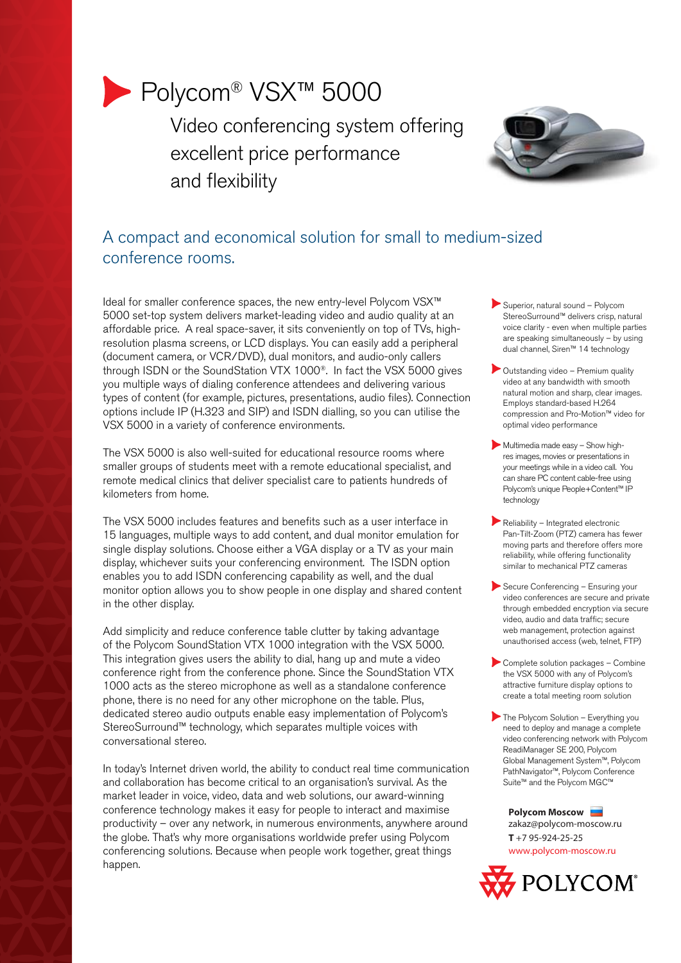# Polycom® VSX™ 5000

Video conferencing system offering excellent price performance and flexibility



## A compact and economical solution for small to medium-sized conference rooms.

Ideal for smaller conference spaces, the new entry-level Polycom VSX™ 5000 set-top system delivers market-leading video and audio quality at an affordable price. A real space-saver, it sits conveniently on top of TVs, highresolution plasma screens, or LCD displays. You can easily add a peripheral (document camera, or VCR/DVD), dual monitors, and audio-only callers through ISDN or the SoundStation VTX 1000®. In fact the VSX 5000 gives you multiple ways of dialing conference attendees and delivering various types of content (for example, pictures, presentations, audio files). Connection options include IP (H.323 and SIP) and ISDN dialling, so you can utilise the VSX 5000 in a variety of conference environments.

The VSX 5000 is also well-suited for educational resource rooms where smaller groups of students meet with a remote educational specialist, and remote medical clinics that deliver specialist care to patients hundreds of kilometers from home.

The VSX 5000 includes features and benefits such as a user interface in 15 languages, multiple ways to add content, and dual monitor emulation for single display solutions. Choose either a VGA display or a TV as your main display, whichever suits your conferencing environment. The ISDN option enables you to add ISDN conferencing capability as well, and the dual monitor option allows you to show people in one display and shared content in the other display.

Add simplicity and reduce conference table clutter by taking advantage of the Polycom SoundStation VTX 1000 integration with the VSX 5000. This integration gives users the ability to dial, hang up and mute a video conference right from the conference phone. Since the SoundStation VTX 1000 acts as the stereo microphone as well as a standalone conference phone, there is no need for any other microphone on the table. Plus, dedicated stereo audio outputs enable easy implementation of Polycom's StereoSurround™ technology, which separates multiple voices with conversational stereo.

In today's Internet driven world, the ability to conduct real time communication and collaboration has become critical to an organisation's survival. As the market leader in voice, video, data and web solutions, our award-winning conference technology makes it easy for people to interact and maximise productivity – over any network, in numerous environments, anywhere around the globe. That's why more organisations worldwide prefer using Polycom conferencing solutions. Because when people work together, great things happen.

- Superior, natural sound Polycom StereoSurround™ delivers crisp, natural voice clarity - even when multiple parties are speaking simultaneously – by using dual channel, Siren™ 14 technology
- Outstanding video Premium quality video at any bandwidth with smooth natural motion and sharp, clear images. Employs standard-based H.264 compression and Pro-Motion™ video for optimal video performance
- Multimedia made easy Show highres images, movies or presentations in your meetings while in a video call. You can share PC content cable-free using Polycom's unique People+Content™ IP technology
- Reliability Integrated electronic Pan-Tilt-Zoom (PTZ) camera has fewer moving parts and therefore offers more reliability, while offering functionality similar to mechanical PTZ cameras
- Secure Conferencing Ensuring your video conferences are secure and private through embedded encryption via secure video, audio and data traffic; secure web management, protection against unauthorised access (web, telnet, FTP)
- Complete solution packages Combine the VSX 5000 with any of Polycom's attractive furniture display options to create a total meeting room solution
- The Polycom Solution Everything you need to deploy and manage a complete video conferencing network with Polycom ReadiManager SE 200, Polycom Global Management System™, Polycom PathNavigator™, Polycom Conference Suite™ and the Polycom MGC™

**Polycom Moscow** zakaz@polycom-moscow.ru **T** +7 95-924-25-25 www.polycom-moscow.ru